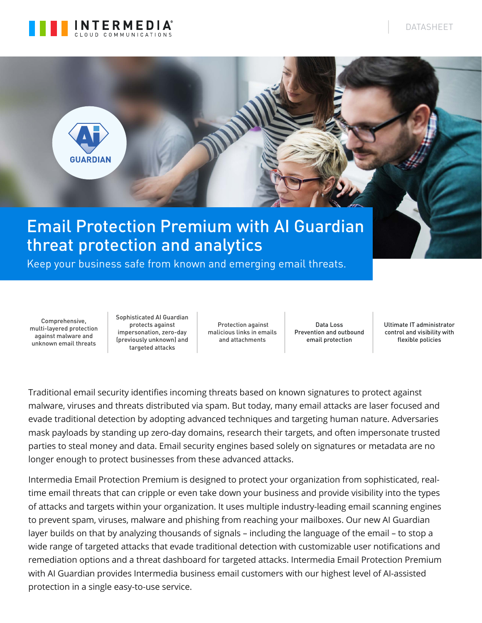



Keep your business safe from known and emerging email threats.

Comprehensive, multi-layered protection against malware and unknown email threats

Sophisticated AI Guardian protects against impersonation, zero-day (previously unknown) and targeted attacks

 Protection against malicious links in emails and attachments

Data Loss Prevention and outbound email protection

Ultimate IT administrator control and visibility with flexible policies

Traditional email security identifies incoming threats based on known signatures to protect against malware, viruses and threats distributed via spam. But today, many email attacks are laser focused and evade traditional detection by adopting advanced techniques and targeting human nature. Adversaries mask payloads by standing up zero-day domains, research their targets, and often impersonate trusted parties to steal money and data. Email security engines based solely on signatures or metadata are no longer enough to protect businesses from these advanced attacks.

Intermedia Email Protection Premium is designed to protect your organization from sophisticated, realtime email threats that can cripple or even take down your business and provide visibility into the types of attacks and targets within your organization. It uses multiple industry-leading email scanning engines to prevent spam, viruses, malware and phishing from reaching your mailboxes. Our new AI Guardian layer builds on that by analyzing thousands of signals – including the language of the email – to stop a wide range of targeted attacks that evade traditional detection with customizable user notifications and remediation options and a threat dashboard for targeted attacks. Intermedia Email Protection Premium with AI Guardian provides Intermedia business email customers with our highest level of AI-assisted protection in a single easy-to-use service.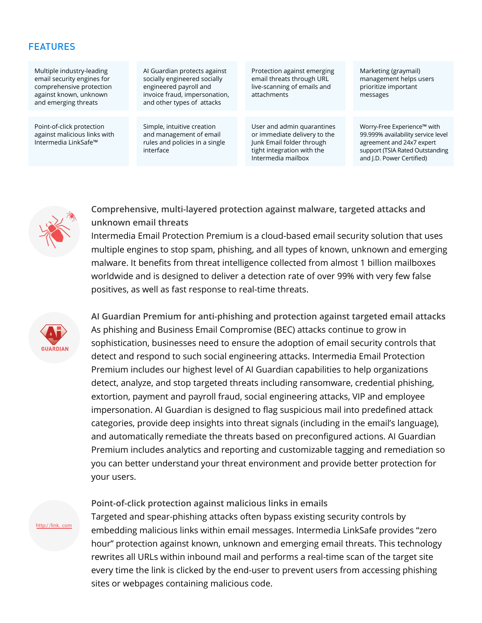#### FEATURES

Multiple industry-leading email security engines for comprehensive protection against known, unknown and emerging threats

Point-of-click protection against malicious links with Intermedia LinkSafe™

AI Guardian protects against socially engineered socially engineered payroll and invoice fraud, impersonation, and other types of attacks

Simple, intuitive creation and management of email rules and policies in a single interface

Protection against emerging email threats through URL live-scanning of emails and attachments

User and admin quarantines or immediate delivery to the Junk Email folder through tight integration with the Intermedia mailbox

Marketing (graymail) management helps users prioritize important messages

Worry-Free Experience™ with 99.999% availability service level agreement and 24x7 expert support (TSIA Rated Outstanding and J.D. Power Certified)



**Comprehensive, multi-layered protection against malware, targeted attacks and unknown email threats**

Intermedia Email Protection Premium is a cloud-based email security solution that uses multiple engines to stop spam, phishing, and all types of known, unknown and emerging malware. It benefits from threat intelligence collected from almost 1 billion mailboxes worldwide and is designed to deliver a detection rate of over 99% with very few false positives, as well as fast response to real-time threats.



http:/ /link. com

**AI Guardian Premium for anti-phishing and protection against targeted email attacks**  As phishing and Business Email Compromise (BEC) attacks continue to grow in sophistication, businesses need to ensure the adoption of email security controls that detect and respond to such social engineering attacks. Intermedia Email Protection Premium includes our highest level of AI Guardian capabilities to help organizations detect, analyze, and stop targeted threats including ransomware, credential phishing, extortion, payment and payroll fraud, social engineering attacks, VIP and employee impersonation. AI Guardian is designed to flag suspicious mail into predefined attack categories, provide deep insights into threat signals (including in the email's language), and automatically remediate the threats based on preconfigured actions. AI Guardian Premium includes analytics and reporting and customizable tagging and remediation so you can better understand your threat environment and provide better protection for your users.

#### **Point-of-click protection against malicious links in emails**

Targeted and spear-phishing attacks often bypass existing security controls by embedding malicious links within email messages. Intermedia LinkSafe provides "zero hour" protection against known, unknown and emerging email threats. This technology rewrites all URLs within inbound mail and performs a real-time scan of the target site every time the link is clicked by the end-user to prevent users from accessing phishing sites or webpages containing malicious code.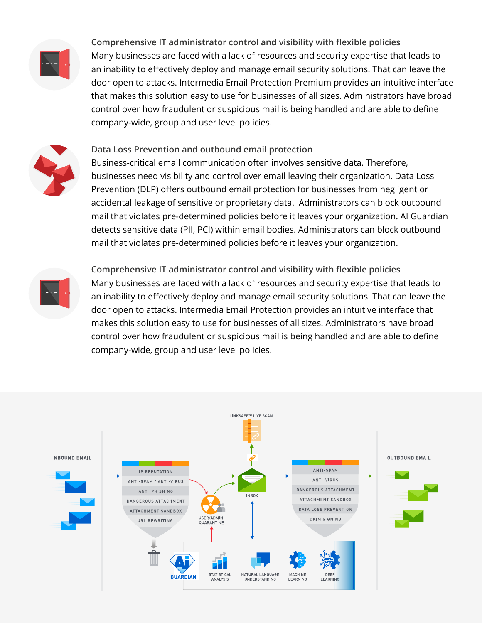

**Comprehensive IT administrator control and visibility with flexible policies**  Many businesses are faced with a lack of resources and security expertise that leads to an inability to effectively deploy and manage email security solutions. That can leave the door open to attacks. Intermedia Email Protection Premium provides an intuitive interface that makes this solution easy to use for businesses of all sizes. Administrators have broad control over how fraudulent or suspicious mail is being handled and are able to define company-wide, group and user level policies.



**Data Loss Prevention and outbound email protection**  Business-critical email communication often involves sensitive data. Therefore, businesses need visibility and control over email leaving their organization. Data Loss Prevention (DLP) offers outbound email protection for businesses from negligent or accidental leakage of sensitive or proprietary data. Administrators can block outbound mail that violates pre-determined policies before it leaves your organization. AI Guardian detects sensitive data (PII, PCI) within email bodies. Administrators can block outbound mail that violates pre-determined policies before it leaves your organization.



**Comprehensive IT administrator control and visibility with flexible policies**  Many businesses are faced with a lack of resources and security expertise that leads to an inability to effectively deploy and manage email security solutions. That can leave the door open to attacks. Intermedia Email Protection provides an intuitive interface that makes this solution easy to use for businesses of all sizes. Administrators have broad control over how fraudulent or suspicious mail is being handled and are able to define company-wide, group and user level policies.

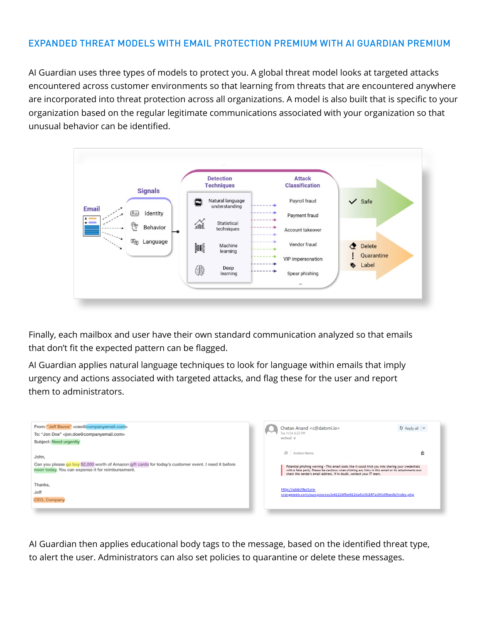## EXPANDED THREAT MODELS WITH EMAIL PROTECTION PREMIUM WITH AI GUARDIAN PREMIUM

AI Guardian uses three types of models to protect you. A global threat model looks at targeted attacks encountered across customer environments so that learning from threats that are encountered anywhere are incorporated into threat protection across all organizations. A model is also built that is specific to your organization based on the regular legitimate communications associated with your organization so that unusual behavior can be identified.



Finally, each mailbox and user have their own standard communication analyzed so that emails that don't fit the expected pattern can be flagged.

AI Guardian applies natural language techniques to look for language within emails that imply urgency and actions associated with targeted attacks, and flag these for the user and report them to administrators.



AI Guardian then applies educational body tags to the message, based on the identified threat type, to alert the user. Administrators can also set policies to quarantine or delete these messages.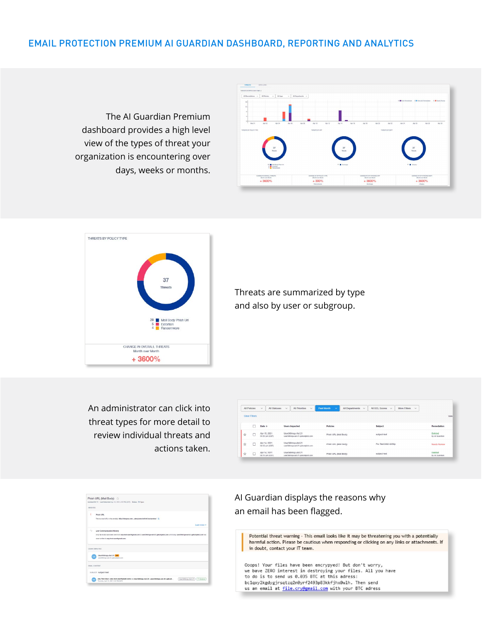## EMAIL PROTECTION PREMIUM AI GUARDIAN DASHBOARD, REPORTING AND ANALYTICS

The AI Guardian Premium dashboard provides a high level view of the types of threat your organization is encountering over days, weeks or months.





Threats are summarized by type and also by user or subgroup.

An administrator can click into threat types for more detail to review individual threats and actions taken.

|   | All Policies  | All Statuses<br>$\checkmark$   | All Priorities<br>$\checkmark$<br>$\checkmark$         | <b>Past Month</b><br>All Departments<br>$\checkmark$ | All SCL Scores<br>More Filters<br>$\checkmark$<br>$\ddot{}$<br>$\backsim$ |                            |
|---|---------------|--------------------------------|--------------------------------------------------------|------------------------------------------------------|---------------------------------------------------------------------------|----------------------------|
|   | Clear Filters |                                |                                                        |                                                      |                                                                           |                            |
|   |               | Date +                         | <b>Users Impacted</b>                                  | <b>Policies</b>                                      | Subject                                                                   | Remediation                |
| ☆ |               | Apr 15, 2021<br>04:52 pm (GST) | User3@Imga Ast-21<br>user:)@imga-ast-21.gahostplot.com | Phish URL (Mail Body)                                | subject-test                                                              | Deleted<br>by Al Guardian  |
| ☆ | □             | Apr 14, 2021<br>04:56 pm (03T) | User3@Imga-Ast-21<br>user3@imga-ast-21.gahostplict.com | Phish URL (Mail Body)                                | Par: Test 0402-0256p                                                      | Needs Review               |
| ☆ | u             | Apr 14, 2021<br>04:12 pm (GST) | User3@tmga-Ast-21<br>user3@mga-ast-21.gahostp#ct.com   | Phish URL (Mail Body)                                | subject-test                                                              | Deteted.<br>by Al Guardian |

|                             | Phish URL (Mail Body)                                                                                                                             |              |
|-----------------------------|---------------------------------------------------------------------------------------------------------------------------------------------------|--------------|
|                             | Incident ID: 70 Last Detected: Apr 15, 2021 4:52 PM (037) Status: O Open                                                                          |              |
| <b>ANALYSIS</b>             |                                                                                                                                                   |              |
|                             | Phish URL                                                                                                                                         |              |
|                             | This is a bad UFL in the emailist http://bloepsa.comudes/pomo/off/off.loe/service/ [1]                                                            |              |
|                             |                                                                                                                                                   | Learn more v |
| $\mathcal{P}_{\mathcal{M}}$ | Low Communication History                                                                                                                         |              |
|                             |                                                                                                                                                   |              |
|                             | Only 12 emails have been sent from any-bast-user@gmail.com to user3@tmga-ast-21.gabostplids.com until today, user3@mga-ast-21.gabostplids.com has |              |
|                             | never written to any-test-user@gmail.com.                                                                                                         |              |
|                             |                                                                                                                                                   |              |
|                             | USERS IMPACTED                                                                                                                                    |              |
|                             |                                                                                                                                                   |              |
| <b>LES</b>                  | User30lmga-Ast-21 WP<br>user3@imgs-ast-21.gahostplist.com                                                                                         |              |
|                             | FMAIL CONTENT                                                                                                                                     |              |
|                             | SUBJECT Subject-test                                                                                                                              |              |

AI Guardian displays the reasons why an email has been flagged.

Potential threat warning - This email looks like it may be threatening you with a potentially harmful action. Please be cautious when responding or clicking on any links or attachments. If in doubt, contact your IT team.

Ooops! Your files have been encrypyed! But don't worry, we bave ZERO interest in destroying your files. All you have to do is to send us 0.035 BTC at this adress: bclqxy2kgdygjrsqtzq2n0yrf2493p83kkfjhx0wlh. Then send<br>us an email at <u>file.cry@gmail.com</u> with your BTC adress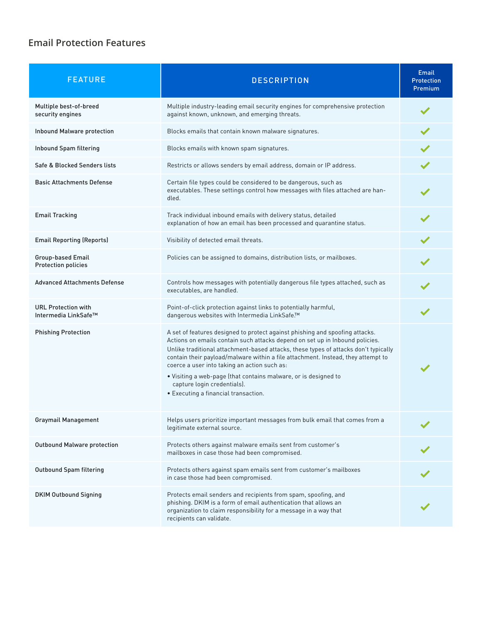# **Email Protection Features**

| <b>FEATURE</b>                                         | <b>DESCRIPTION</b>                                                                                                                                                                                                                                                                                                                                                                                                                                                                                                                | Email<br><b>Protection</b><br><b>Premium</b> |
|--------------------------------------------------------|-----------------------------------------------------------------------------------------------------------------------------------------------------------------------------------------------------------------------------------------------------------------------------------------------------------------------------------------------------------------------------------------------------------------------------------------------------------------------------------------------------------------------------------|----------------------------------------------|
| Multiple best-of-breed<br>security engines             | Multiple industry-leading email security engines for comprehensive protection<br>against known, unknown, and emerging threats.                                                                                                                                                                                                                                                                                                                                                                                                    |                                              |
| <b>Inbound Malware protection</b>                      | Blocks emails that contain known malware signatures.                                                                                                                                                                                                                                                                                                                                                                                                                                                                              |                                              |
| Inbound Spam filtering                                 | Blocks emails with known spam signatures.                                                                                                                                                                                                                                                                                                                                                                                                                                                                                         |                                              |
| Safe & Blocked Senders lists                           | Restricts or allows senders by email address, domain or IP address.                                                                                                                                                                                                                                                                                                                                                                                                                                                               |                                              |
| <b>Basic Attachments Defense</b>                       | Certain file types could be considered to be dangerous, such as<br>executables. These settings control how messages with files attached are han-<br>dled.                                                                                                                                                                                                                                                                                                                                                                         |                                              |
| <b>Email Tracking</b>                                  | Track individual inbound emails with delivery status, detailed<br>explanation of how an email has been processed and quarantine status.                                                                                                                                                                                                                                                                                                                                                                                           |                                              |
| <b>Email Reporting (Reports)</b>                       | Visibility of detected email threats.                                                                                                                                                                                                                                                                                                                                                                                                                                                                                             |                                              |
| <b>Group-based Email</b><br><b>Protection policies</b> | Policies can be assigned to domains, distribution lists, or mailboxes.                                                                                                                                                                                                                                                                                                                                                                                                                                                            |                                              |
| <b>Advanced Attachments Defense</b>                    | Controls how messages with potentially dangerous file types attached, such as<br>executables, are handled.                                                                                                                                                                                                                                                                                                                                                                                                                        |                                              |
| <b>URL Protection with</b><br>Intermedia LinkSafe™     | Point-of-click protection against links to potentially harmful,<br>dangerous websites with Intermedia LinkSafe.™                                                                                                                                                                                                                                                                                                                                                                                                                  |                                              |
| <b>Phishing Protection</b>                             | A set of features designed to protect against phishing and spoofing attacks.<br>Actions on emails contain such attacks depend on set up in Inbound policies.<br>Unlike traditional attachment-based attacks, these types of attacks don't typically<br>contain their payload/malware within a file attachment. Instead, they attempt to<br>coerce a user into taking an action such as:<br>• Visiting a web-page (that contains malware, or is designed to<br>capture login credentials).<br>• Executing a financial transaction. |                                              |
| <b>Graymail Management</b>                             | Helps users prioritize important messages from bulk email that comes from a<br>legitimate external source.                                                                                                                                                                                                                                                                                                                                                                                                                        |                                              |
| <b>Outbound Malware protection</b>                     | Protects others against malware emails sent from customer's<br>mailboxes in case those had been compromised.                                                                                                                                                                                                                                                                                                                                                                                                                      |                                              |
| <b>Outbound Spam filtering</b>                         | Protects others against spam emails sent from customer's mailboxes<br>in case those had been compromised.                                                                                                                                                                                                                                                                                                                                                                                                                         |                                              |
| <b>DKIM Outbound Signing</b>                           | Protects email senders and recipients from spam, spoofing, and<br>phishing. DKIM is a form of email authentication that allows an<br>organization to claim responsibility for a message in a way that<br>recipients can validate.                                                                                                                                                                                                                                                                                                 |                                              |